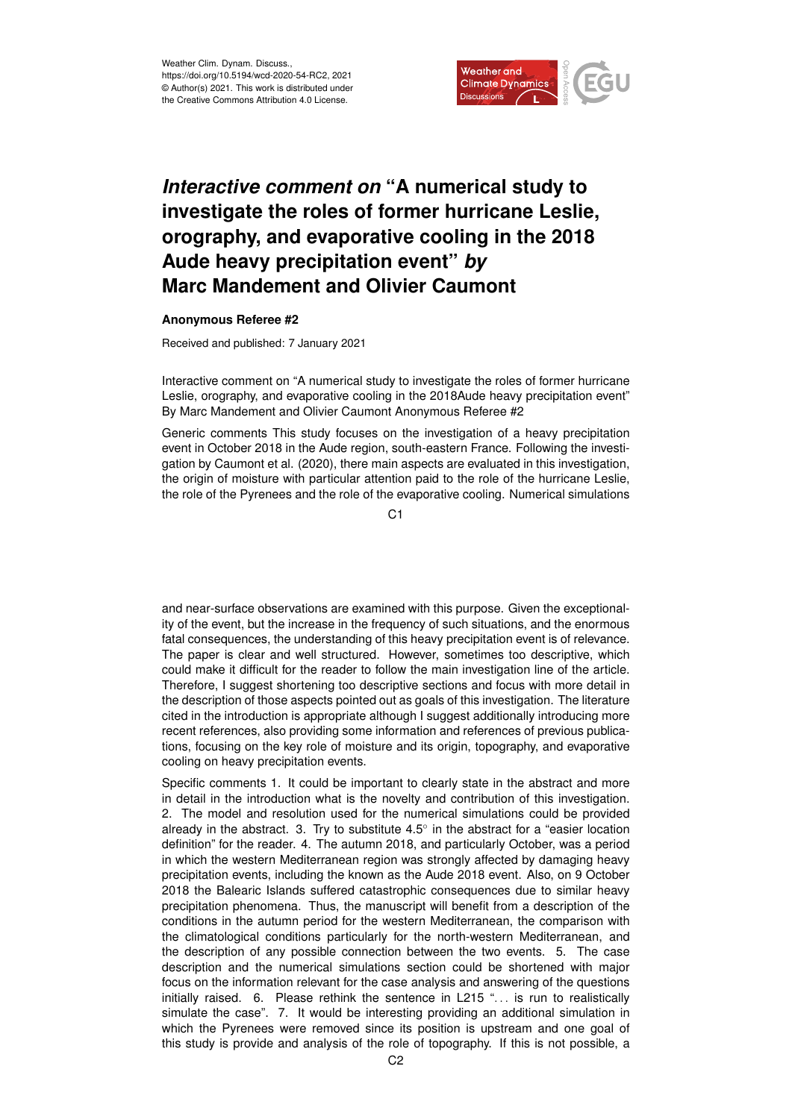

## *Interactive comment on* **"A numerical study to investigate the roles of former hurricane Leslie, orography, and evaporative cooling in the 2018 Aude heavy precipitation event"** *by* **Marc Mandement and Olivier Caumont**

## **Anonymous Referee #2**

Received and published: 7 January 2021

Interactive comment on "A numerical study to investigate the roles of former hurricane Leslie, orography, and evaporative cooling in the 2018Aude heavy precipitation event" By Marc Mandement and Olivier Caumont Anonymous Referee #2

Generic comments This study focuses on the investigation of a heavy precipitation event in October 2018 in the Aude region, south-eastern France. Following the investigation by Caumont et al. (2020), there main aspects are evaluated in this investigation, the origin of moisture with particular attention paid to the role of the hurricane Leslie, the role of the Pyrenees and the role of the evaporative cooling. Numerical simulations

C1

and near-surface observations are examined with this purpose. Given the exceptionality of the event, but the increase in the frequency of such situations, and the enormous fatal consequences, the understanding of this heavy precipitation event is of relevance. The paper is clear and well structured. However, sometimes too descriptive, which could make it difficult for the reader to follow the main investigation line of the article. Therefore, I suggest shortening too descriptive sections and focus with more detail in the description of those aspects pointed out as goals of this investigation. The literature cited in the introduction is appropriate although I suggest additionally introducing more recent references, also providing some information and references of previous publications, focusing on the key role of moisture and its origin, topography, and evaporative cooling on heavy precipitation events.

Specific comments 1. It could be important to clearly state in the abstract and more in detail in the introduction what is the novelty and contribution of this investigation. 2. The model and resolution used for the numerical simulations could be provided already in the abstract. 3. Try to substitute  $4.5^{\circ}$  in the abstract for a "easier location definition" for the reader. 4. The autumn 2018, and particularly October, was a period in which the western Mediterranean region was strongly affected by damaging heavy precipitation events, including the known as the Aude 2018 event. Also, on 9 October 2018 the Balearic Islands suffered catastrophic consequences due to similar heavy precipitation phenomena. Thus, the manuscript will benefit from a description of the conditions in the autumn period for the western Mediterranean, the comparison with the climatological conditions particularly for the north-western Mediterranean, and the description of any possible connection between the two events. 5. The case description and the numerical simulations section could be shortened with major focus on the information relevant for the case analysis and answering of the questions initially raised.  $6.$  Please rethink the sentence in L215 "... is run to realistically simulate the case". 7. It would be interesting providing an additional simulation in which the Pyrenees were removed since its position is upstream and one goal of this study is provide and analysis of the role of topography. If this is not possible, a